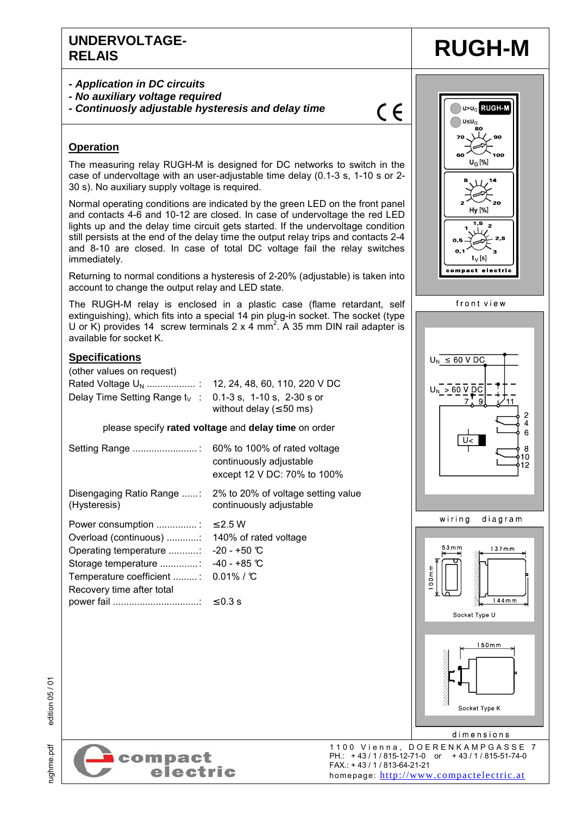### **UNDERVOLTAGE-RELAIS RUGH-M**

- **Application in DC circuits**
- **No auxiliary voltage required**
- **Continuosly adjustable hysteresis and delay time**

## $C \in$

#### **Operation**

The measuring relay RUGH-M is designed for DC networks to switch in the case of undervoltage with an user-adjustable time delay (0.1-3 s, 1-10 s or 2- 30 s). No auxiliary supply voltage is required.

Normal operating conditions are indicated by the green LED on the front panel and contacts 4-6 and 10-12 are closed. In case of undervoltage the red LED lights up and the delay time circuit gets started. If the undervoltage condition still persists at the end of the delay time the output relay trips and contacts 2-4 and 8-10 are closed. In case of total DC voltage fail the relay switches immediately.

Returning to normal conditions a hysteresis of 2-20% (adjustable) is taken into account to change the output relay and LED state.

The RUGH-M relay is enclosed in a plastic case (flame retardant, self extinguishing), which fits into a special 14 pin plug-in socket. The socket (type U or K) provides 14 screw terminals  $2 \times 4$  mm<sup>2</sup>. A 35 mm DIN rail adapter is available for socket K.

#### **Specifications**

(other values on request) Rated Voltage UN .................. : 12, 24, 48, 60, 110, 220 V DC Delay Time Setting Range  $t_V$  : 0.1-3 s, 1-10 s, 2-30 s or without delay ( $\leq 50$  ms)

#### please specify **rated voltage** and **delay time** on order

| Setting Range                                                                                                                                                                            | 60% to 100% of rated voltage<br>continuously adjustable<br>except 12 V DC: 70% to 100% |
|------------------------------------------------------------------------------------------------------------------------------------------------------------------------------------------|----------------------------------------------------------------------------------------|
| Disengaging Ratio Range :<br>(Hysteresis)                                                                                                                                                | 2% to 20% of voltage setting value<br>continuously adjustable                          |
| Power consumption :<br>Overload (continuous)<br>Operating temperature : -20 - +50 $\mathbb C$<br>Storage temperature<br>Temperature coefficient : 0.01% / C<br>Recovery time after total | $\leq$ 2.5 W<br>140% of rated voltage<br>$-40 - +85$ °C                                |

**DI-V<sub>G</sub>RUGH-M**  $\bigcap$ U≤U $_{\rm G}$  $\overline{10}$ ∠  $U_G$ [%] Hv [%]  $t_V[s]$ compact electric front view  $U_N \leq 60$  V DC  $> 60 \vee$  DC  $\frac{2}{4}$ 6  $U<$ 8  $10$  $12$ wiring diagram  $53mm$  $137mm$ 00mm  $144$ mm Socket Type U  $150mm$ 

rughme.pdf edition 05 / 01 edition 05 / 01

ughme.pdf



1100 Vienna, DOERENKAMPGASSE 7<br>PH: +43/1/815-12-71-0 or +43/1/815-51-74-0 PH.: + 43 / 1 / 815-12-71-0 or + 43 / 1 / 815-51-74-0 FAX.: + 43 / 1 / 813-64-21-21 homepage: http://www.compactelectric.at

Socket Type K

dimensions